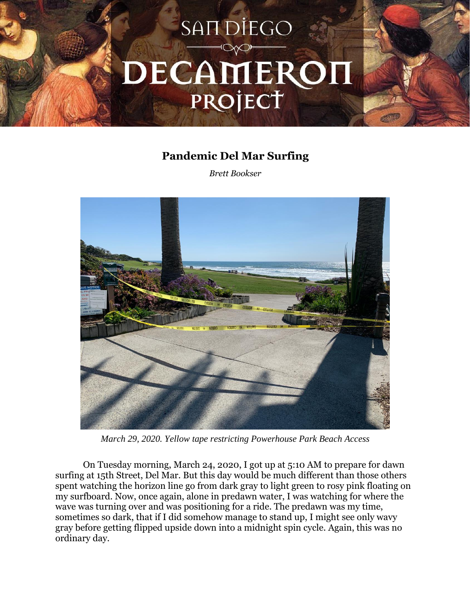

## **Pandemic Del Mar Surfing**

*Brett Bookser*



*March 29, 2020. Yellow tape restricting Powerhouse Park Beach Access*

On Tuesday morning, March 24, 2020, I got up at 5:10 AM to prepare for dawn surfing at 15th Street, Del Mar. But this day would be much different than those others spent watching the horizon line go from dark gray to light green to rosy pink floating on my surfboard. Now, once again, alone in predawn water, I was watching for where the wave was turning over and was positioning for a ride. The predawn was my time, sometimes so dark, that if I did somehow manage to stand up, I might see only wavy gray before getting flipped upside down into a midnight spin cycle. Again, this was no ordinary day.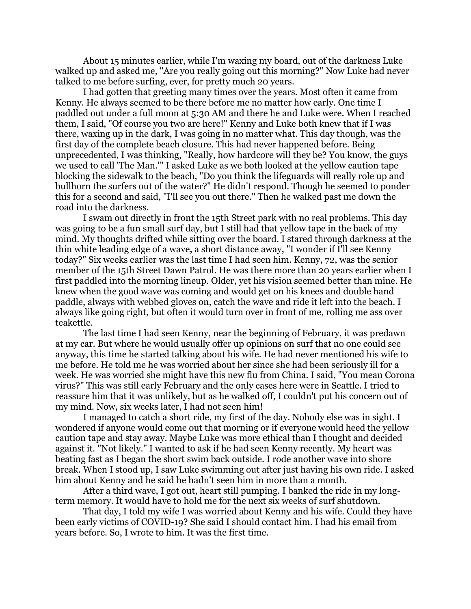About 15 minutes earlier, while I'm waxing my board, out of the darkness Luke walked up and asked me, "Are you really going out this morning?" Now Luke had never talked to me before surfing, ever, for pretty much 20 years.

I had gotten that greeting many times over the years. Most often it came from Kenny. He always seemed to be there before me no matter how early. One time I paddled out under a full moon at 5:30 AM and there he and Luke were. When I reached them, I said, "Of course you two are here!" Kenny and Luke both knew that if I was there, waxing up in the dark, I was going in no matter what. This day though, was the first day of the complete beach closure. This had never happened before. Being unprecedented, I was thinking, "Really, how hardcore will they be? You know, the guys we used to call 'The Man.'" I asked Luke as we both looked at the yellow caution tape blocking the sidewalk to the beach, "Do you think the lifeguards will really role up and bullhorn the surfers out of the water?" He didn't respond. Though he seemed to ponder this for a second and said, "I'll see you out there." Then he walked past me down the road into the darkness.

I swam out directly in front the 15th Street park with no real problems. This day was going to be a fun small surf day, but I still had that yellow tape in the back of my mind. My thoughts drifted while sitting over the board. I stared through darkness at the thin white leading edge of a wave, a short distance away, "I wonder if I'll see Kenny today?" Six weeks earlier was the last time I had seen him. Kenny, 72, was the senior member of the 15th Street Dawn Patrol. He was there more than 20 years earlier when I first paddled into the morning lineup. Older, yet his vision seemed better than mine. He knew when the good wave was coming and would get on his knees and double hand paddle, always with webbed gloves on, catch the wave and ride it left into the beach. I always like going right, but often it would turn over in front of me, rolling me ass over teakettle.

The last time I had seen Kenny, near the beginning of February, it was predawn at my car. But where he would usually offer up opinions on surf that no one could see anyway, this time he started talking about his wife. He had never mentioned his wife to me before. He told me he was worried about her since she had been seriously ill for a week. He was worried she might have this new flu from China. I said, "You mean Corona virus?" This was still early February and the only cases here were in Seattle. I tried to reassure him that it was unlikely, but as he walked off, I couldn't put his concern out of my mind. Now, six weeks later, I had not seen him!

I managed to catch a short ride, my first of the day. Nobody else was in sight. I wondered if anyone would come out that morning or if everyone would heed the yellow caution tape and stay away. Maybe Luke was more ethical than I thought and decided against it. "Not likely." I wanted to ask if he had seen Kenny recently. My heart was beating fast as I began the short swim back outside. I rode another wave into shore break. When I stood up, I saw Luke swimming out after just having his own ride. I asked him about Kenny and he said he hadn't seen him in more than a month.

After a third wave, I got out, heart still pumping. I banked the ride in my longterm memory. It would have to hold me for the next six weeks of surf shutdown.

That day, I told my wife I was worried about Kenny and his wife. Could they have been early victims of COVID-19? She said I should contact him. I had his email from years before. So, I wrote to him. It was the first time.